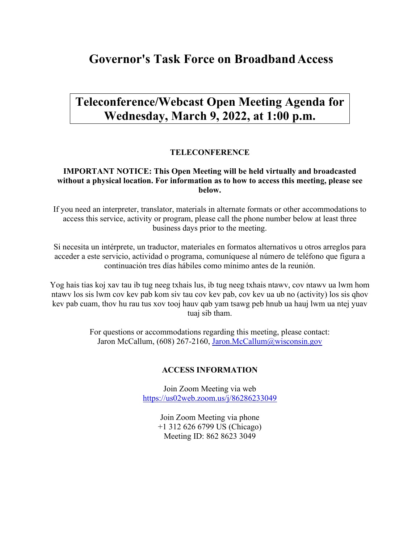# **Governor's Task Force on BroadbandAccess**

# **Teleconference/Webcast Open Meeting Agenda for Wednesday, March 9, 2022, at 1:00 p.m.**

### **TELECONFERENCE**

#### **IMPORTANT NOTICE: This Open Meeting will be held virtually and broadcasted without a physical location. For information as to how to access this meeting, please see below.**

If you need an interpreter, translator, materials in alternate formats or other accommodations to access this service, activity or program, please call the phone number below at least three business days prior to the meeting.

Si necesita un intérprete, un traductor, materiales en formatos alternativos u otros arreglos para acceder a este servicio, actividad o programa, comuníquese al número de teléfono que figura a continuación tres días hábiles como mínimo antes de la reunión.

Yog hais tias koj xav tau ib tug neeg txhais lus, ib tug neeg txhais ntawv, cov ntawv ua lwm hom ntawv los sis lwm cov kev pab kom siv tau cov kev pab, cov kev ua ub no (activity) los sis qhov kev pab cuam, thov hu rau tus xov tooj hauv qab yam tsawg peb hnub ua hauj lwm ua ntej yuav tuaj sib tham.

> For questions or accommodations regarding this meeting, please contact: Jaron McCallum, (608) 267-2160, [Jaron.McCallum@wisconsin.gov](mailto:Jaron.McCallum@wisconsin.gov)

#### **ACCESS INFORMATION**

Join Zoom Meeting via web <https://us02web.zoom.us/j/86286233049>

> Join Zoom Meeting via phone +1 312 626 6799 US (Chicago) Meeting ID: 862 8623 3049